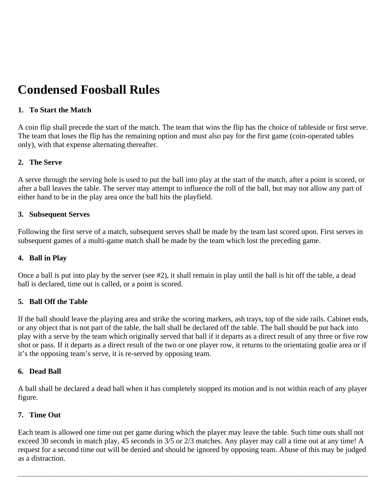# **Condensed Foosball Rules**

# **1. To Start the Match**

A coin flip shall precede the start of the match. The team that wins the flip has the choice of tableside or first serve. The team that loses the flip has the remaining option and must also pay for the first game (coin-operated tables only), with that expense alternating thereafter.

# **2. The Serve**

A serve through the serving hole is used to put the ball into play at the start of the match, after a point is scored, or after a ball leaves the table. The server may attempt to influence the roll of the ball, but may not allow any part of either hand to be in the play area once the ball hits the playfield.

## **3. Subsequent Serves**

Following the first serve of a match, subsequent serves shall be made by the team last scored upon. First serves in subsequent games of a multi-game match shall be made by the team which lost the preceding game.

## **4. Ball in Play**

Once a ball is put into play by the server (see #2), it shall remain in play until the ball is hit off the table, a dead ball is declared, time out is called, or a point is scored.

## **5. Ball Off the Table**

If the ball should leave the playing area and strike the scoring markers, ash trays, top of the side rails. Cabinet ends, or any object that is not part of the table, the ball shall be declared off the table. The ball should be put back into play with a serve by the team which originally served that ball if it departs as a direct result of any three or five row shot or pass. If it departs as a direct result of the two or one player row, it returns to the orientating goalie area or if it's the opposing team's serve, it is re-served by opposing team.

## **6. Dead Ball**

A ball shall be declared a dead ball when it has completely stopped its motion and is not within reach of any player figure.

# **7. Time Out**

Each team is allowed one time out per game during which the player may leave the table. Such time outs shall not exceed 30 seconds in match play, 45 seconds in 3/5 or 2/3 matches. Any player may call a time out at any time! A request for a second time out will be denied and should be ignored by opposing team. Abuse of this may be judged as a distraction.

 $\bot$  , and the set of the set of the set of the set of the set of the set of the set of the set of the set of the set of the set of the set of the set of the set of the set of the set of the set of the set of the set of t